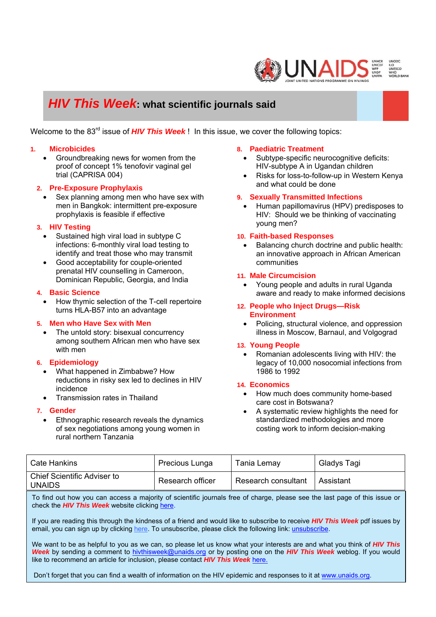

# *HIV This Week***: what scientific journals said**

Welcome to the 83<sup>rd</sup> issue of **HIV This Week**! In this issue, we cover the following topics:

## **1. Microbicides**

• Groundbreaking news for women from the proof of concept 1% tenofovir vaginal gel trial (CAPRISA 004)

## **2. Pre-Exposure Prophylaxis**

• Sex planning among men who have sex with men in Bangkok: intermittent pre-exposure prophylaxis is feasible if effective

#### **3. HIV Testing**

- Sustained high viral load in subtype C infections: 6-monthly viral load testing to identify and treat those who may transmit
- Good acceptability for couple-oriented prenatal HIV counselling in Cameroon, Dominican Republic, Georgia, and India

#### **4. Basic Science**

• How thymic selection of the T-cell repertoire turns HLA-B57 into an advantage

## **5. Men who Have Sex with Men**

• The untold story: bisexual concurrency among southern African men who have sex with men

#### **6. Epidemiology**

- What happened in Zimbabwe? How reductions in risky sex led to declines in HIV incidence
- Transmission rates in Thailand

#### **7. Gender**

• Ethnographic research reveals the dynamics of sex negotiations among young women in rural northern Tanzania

#### **8. Paediatric Treatment**

- Subtype-specific neurocognitive deficits: HIV-subtype A in Ugandan children
- Risks for loss-to-follow-up in Western Kenya and what could be done

#### **9. Sexually Transmitted Infections**

• Human papillomavirus (HPV) predisposes to HIV: Should we be thinking of vaccinating young men?

#### **10. Faith-based Responses**

• Balancing church doctrine and public health: an innovative approach in African American communities

#### **11. Male Circumcision**

• Young people and adults in rural Uganda aware and ready to make informed decisions

#### **12. People who Inject Drugs—Risk Environment**

• Policing, structural violence, and oppression illness in Moscow, Barnaul, and Volgograd

#### **13. Young People**

• Romanian adolescents living with HIV: the legacy of 10,000 nosocomial infections from 1986 to 1992

#### **14. Economics**

- How much does community home-based care cost in Botswana?
- A systematic review highlights the need for standardized methodologies and more costing work to inform decision-making

| Cate Hankins                                 | Precious Lunga   | Tania Lemay         | Gladys Tagi |
|----------------------------------------------|------------------|---------------------|-------------|
| Chief Scientific Adviser to<br><b>UNAIDS</b> | Research officer | Research consultant | Assistant   |

To find out how you can access a majority of scientific journals free of charge, please see the last page of this issue or check the *HIV This Week* website clicking here.

If you are reading this through the kindness of a friend and would like to subscribe to receive *HIV This Week* pdf issues by email, you can sign up by clicking here. To unsubscribe, please click the following link: unsubscribe.

We want to be as helpful to you as we can, so please let us know what your interests are and what you think of *HIV This Week* by sending a comment to hivthisweek@unaids.org or by posting one on the *HIV This Week* weblog. If you would like to recommend an article for inclusion, please contact *HIV This Week* here.

Don't forget that you can find a wealth of information on the HIV epidemic and responses to it at www.unaids.org.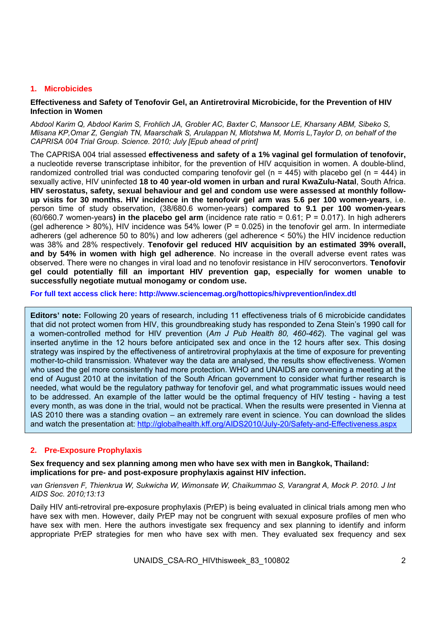# **1. Microbicides**

## **Effectiveness and Safety of Tenofovir Gel, an Antiretroviral Microbicide, for the Prevention of HIV Infection in Women**

*Abdool Karim Q, Abdool Karim S, Frohlich JA, Grobler AC, Baxter C, Mansoor LE, Kharsany ABM, Sibeko S, Mlisana KP,Omar Z, Gengiah TN, Maarschalk S, Arulappan N, Mlotshwa M, Morris L,Taylor D, on behalf of the CAPRISA 004 Trial Group. Science. 2010; July [Epub ahead of print]* 

The CAPRISA 004 trial assessed **effectiveness and safety of a 1% vaginal gel formulation of tenofovir,**  a nucleotide reverse transcriptase inhibitor, for the prevention of HIV acquisition in women. A double-blind, randomized controlled trial was conducted comparing tenofovir gel ( $n = 445$ ) with placebo gel ( $n = 444$ ) in sexually active, HIV uninfected **18 to 40 year-old women in urban and rural KwaZulu-Natal**, South Africa. **HIV serostatus, safety, sexual behaviour and gel and condom use were assessed at monthly followup visits for 30 months. HIV incidence in the tenofovir gel arm was 5.6 per 100 women-years**, i.e. person time of study observation, (38/680.6 women-years) **compared to 9.1 per 100 women-years** (60/660.7 women-years**) in the placebo gel arm** (incidence rate ratio = 0.61; P = 0.017). In high adherers (gel adherence  $> 80\%$ ), HIV incidence was 54% lower (P = 0.025) in the tenofovir gel arm. In intermediate adherers (gel adherence 50 to 80%) and low adherers (gel adherence < 50%) the HIV incidence reduction was 38% and 28% respectively. **Tenofovir gel reduced HIV acquisition by an estimated 39% overall, and by 54% in women with high gel adherence**. No increase in the overall adverse event rates was observed. There were no changes in viral load and no tenofovir resistance in HIV seroconvertors. **Tenofovir gel could potentially fill an important HIV prevention gap, especially for women unable to successfully negotiate mutual monogamy or condom use.** 

**For full text access click here: http://www.sciencemag.org/hottopics/hivprevention/index.dtl** 

**Editors' note:** Following 20 years of research, including 11 effectiveness trials of 6 microbicide candidates that did not protect women from HIV, this groundbreaking study has responded to Zena Stein's 1990 call for a women-controlled method for HIV prevention (*Am J Pub Health 80, 460-462*). The vaginal gel was inserted anytime in the 12 hours before anticipated sex and once in the 12 hours after sex. This dosing strategy was inspired by the effectiveness of antiretroviral prophylaxis at the time of exposure for preventing mother-to-child transmission. Whatever way the data are analysed, the results show effectiveness. Women who used the gel more consistently had more protection. WHO and UNAIDS are convening a meeting at the end of August 2010 at the invitation of the South African government to consider what further research is needed, what would be the regulatory pathway for tenofovir gel, and what programmatic issues would need to be addressed. An example of the latter would be the optimal frequency of HIV testing - having a test every month, as was done in the trial, would not be practical. When the results were presented in Vienna at IAS 2010 there was a standing ovation – an extremely rare event in science. You can download the slides and watch the presentation at: http://globalhealth.kff.org/AIDS2010/July-20/Safety-and-Effectiveness.aspx

# **2. Pre-Exposure Prophylaxis**

## **Sex frequency and sex planning among men who have sex with men in Bangkok, Thailand: implications for pre- and post-exposure prophylaxis against HIV infection.**

*van Griensven F, Thienkrua W, Sukwicha W, Wimonsate W, Chaikummao S, Varangrat A, Mock P. 2010. J Int AIDS Soc. 2010;13:13* 

Daily HIV anti-retroviral pre-exposure prophylaxis (PrEP) is being evaluated in clinical trials among men who have sex with men. However, daily PrEP may not be congruent with sexual exposure profiles of men who have sex with men. Here the authors investigate sex frequency and sex planning to identify and inform appropriate PrEP strategies for men who have sex with men. They evaluated sex frequency and sex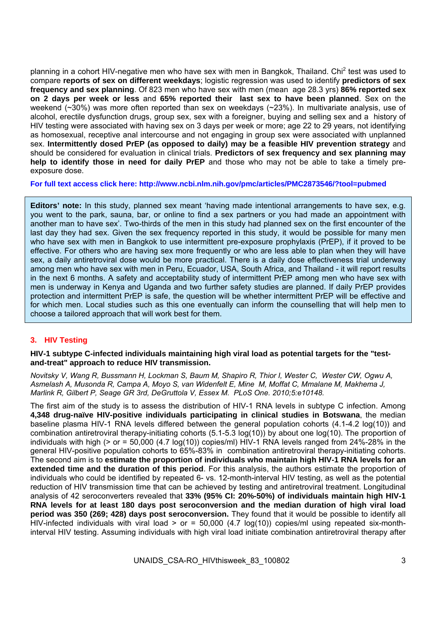planning in a cohort HIV-negative men who have sex with men in Bangkok, Thailand. Chi<sup>2</sup> test was used to compare **reports of sex on different weekdays**; logistic regression was used to identify **predictors of sex frequency and sex planning**. Of 823 men who have sex with men (mean age 28.3 yrs) **86% reported sex on 2 days per week or less** and **65% reported their last sex to have been planned**. Sex on the weekend (~30%) was more often reported than sex on weekdays (~23%). In multivariate analysis, use of alcohol, erectile dysfunction drugs, group sex, sex with a foreigner, buying and selling sex and a history of HIV testing were associated with having sex on 3 days per week or more; age 22 to 29 years, not identifying as homosexual, receptive anal intercourse and not engaging in group sex were associated with unplanned sex. **Intermittently dosed PrEP (as opposed to daily) may be a feasible HIV prevention strategy** and should be considered for evaluation in clinical trials. **Predictors of sex frequency and sex planning may help to identify those in need for daily PrEP** and those who may not be able to take a timely preexposure dose.

**For full text access click here: http://www.ncbi.nlm.nih.gov/pmc/articles/PMC2873546/?tool=pubmed** 

**Editors' note:** In this study, planned sex meant 'having made intentional arrangements to have sex, e.g. you went to the park, sauna, bar, or online to find a sex partners or you had made an appointment with another man to have sex'. Two-thirds of the men in this study had planned sex on the first encounter of the last day they had sex. Given the sex frequency reported in this study, it would be possible for many men who have sex with men in Bangkok to use intermittent pre-exposure prophylaxis (PrEP), if it proved to be effective. For others who are having sex more frequently or who are less able to plan when they will have sex, a daily antiretroviral dose would be more practical. There is a daily dose effectiveness trial underway among men who have sex with men in Peru, Ecuador, USA, South Africa, and Thailand - it will report results in the next 6 months. A safety and acceptability study of intermittent PrEP among men who have sex with men is underway in Kenya and Uganda and two further safety studies are planned. If daily PrEP provides protection and intermittent PrEP is safe, the question will be whether intermittent PrEP will be effective and for which men. Local studies such as this one eventually can inform the counselling that will help men to choose a tailored approach that will work best for them.

# **3. HIV Testing**

## **HIV-1 subtype C-infected individuals maintaining high viral load as potential targets for the "testand-treat" approach to reduce HIV transmission.**

*Novitsky V, Wang R, Bussmann H, Lockman S, Baum M, Shapiro R, Thior I, Wester C, Wester CW, Ogwu A, Asmelash A, Musonda R, Campa A, Moyo S, van Widenfelt E, Mine M, Moffat C, Mmalane M, Makhema J, Marlink R, Gilbert P, Seage GR 3rd, DeGruttola V, Essex M. PLoS One. 2010;5:e10148.* 

The first aim of the study is to assess the distribution of HIV-1 RNA levels in subtype C infection. Among **4,348 drug-naïve HIV-positive individuals participating in clinical studies in Botswana**, the median baseline plasma HIV-1 RNA levels differed between the general population cohorts (4.1-4.2 log(10)) and combination antiretroviral therapy-initiating cohorts (5.1-5.3 log(10)) by about one log(10). The proportion of individuals with high ( $>$  or = 50,000 (4.7 log(10)) copies/ml) HIV-1 RNA levels ranged from 24%-28% in the general HIV-positive population cohorts to 65%-83% in combination antiretroviral therapy-initiating cohorts. The second aim is to **estimate the proportion of individuals who maintain high HIV-1 RNA levels for an extended time and the duration of this period**. For this analysis, the authors estimate the proportion of individuals who could be identified by repeated 6- vs. 12-month-interval HIV testing, as well as the potential reduction of HIV transmission time that can be achieved by testing and antiretroviral treatment. Longitudinal analysis of 42 seroconverters revealed that **33% (95% CI: 20%-50%) of individuals maintain high HIV-1 RNA levels for at least 180 days post seroconversion and the median duration of high viral load period was 350 (269; 428) days post seroconversion.** They found that it would be possible to identify all HIV-infected individuals with viral load > or =  $50,000$  (4.7 log(10)) copies/ml using repeated six-monthinterval HIV testing. Assuming individuals with high viral load initiate combination antiretroviral therapy after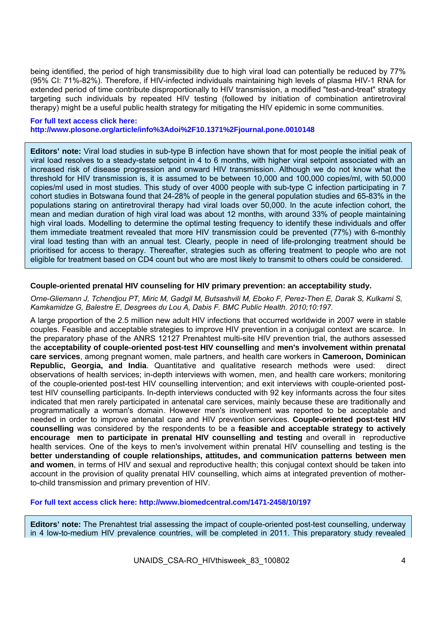being identified, the period of high transmissibility due to high viral load can potentially be reduced by 77% (95% CI: 71%-82%). Therefore, if HIV-infected individuals maintaining high levels of plasma HIV-1 RNA for extended period of time contribute disproportionally to HIV transmission, a modified "test-and-treat" strategy targeting such individuals by repeated HIV testing (followed by initiation of combination antiretroviral therapy) might be a useful public health strategy for mitigating the HIV epidemic in some communities.

#### **For full text access click here: http://www.plosone.org/article/info%3Adoi%2F10.1371%2Fjournal.pone.0010148**

**Editors' note:** Viral load studies in sub-type B infection have shown that for most people the initial peak of viral load resolves to a steady-state setpoint in 4 to 6 months, with higher viral setpoint associated with an increased risk of disease progression and onward HIV transmission. Although we do not know what the threshold for HIV transmission is, it is assumed to be between 10,000 and 100,000 copies/ml, with 50,000 copies/ml used in most studies. This study of over 4000 people with sub-type C infection participating in 7 cohort studies in Botswana found that 24-28% of people in the general population studies and 65-83% in the populations staring on antiretroviral therapy had viral loads over 50,000. In the acute infection cohort, the mean and median duration of high viral load was about 12 months, with around 33% of people maintaining high viral loads. Modelling to determine the optimal testing frequency to identify these individuals and offer them immediate treatment revealed that more HIV transmission could be prevented (77%) with 6-monthly viral load testing than with an annual test. Clearly, people in need of life-prolonging treatment should be prioritised for access to therapy. Thereafter, strategies such as offering treatment to people who are not eligible for treatment based on CD4 count but who are most likely to transmit to others could be considered.

# **Couple-oriented prenatal HIV counseling for HIV primary prevention: an acceptability study.**

*Orne-Gliemann J, Tchendjou PT, Miric M, Gadgil M, Butsashvili M, Eboko F, Perez-Then E, Darak S, Kulkarni S, Kamkamidze G, Balestre E, Desgrees du Lou A, Dabis F. BMC Public Health. 2010;10:197.* 

A large proportion of the 2.5 million new adult HIV infections that occurred worldwide in 2007 were in stable couples. Feasible and acceptable strategies to improve HIV prevention in a conjugal context are scarce. In the preparatory phase of the ANRS 12127 Prenahtest multi-site HIV prevention trial, the authors assessed the **acceptability of couple-oriented post-test HIV counselling** and **men's involvement within prenatal care services**, among pregnant women, male partners, and health care workers in **Cameroon, Dominican Republic, Georgia, and India**. Quantitative and qualitative research methods were used: direct observations of health services; in-depth interviews with women, men, and health care workers; monitoring of the couple-oriented post-test HIV counselling intervention; and exit interviews with couple-oriented posttest HIV counselling participants. In-depth interviews conducted with 92 key informants across the four sites indicated that men rarely participated in antenatal care services, mainly because these are traditionally and programmatically a woman's domain. However men's involvement was reported to be acceptable and needed in order to improve antenatal care and HIV prevention services. **Couple-oriented post-test HIV counselling** was considered by the respondents to be a **feasible and acceptable strategy to actively encourage men to participate in prenatal HIV counselling and testing** and overall in reproductive health services. One of the keys to men's involvement within prenatal HIV counselling and testing is the **better understanding of couple relationships, attitudes, and communication patterns between men and women**, in terms of HIV and sexual and reproductive health; this conjugal context should be taken into account in the provision of quality prenatal HIV counselling, which aims at integrated prevention of motherto-child transmission and primary prevention of HIV.

**For full text access click here: http://www.biomedcentral.com/1471-2458/10/197** 

**Editors' note:** The Prenahtest trial assessing the impact of couple-oriented post-test counselling, underway in 4 low-to-medium HIV prevalence countries, will be completed in 2011. This preparatory study revealed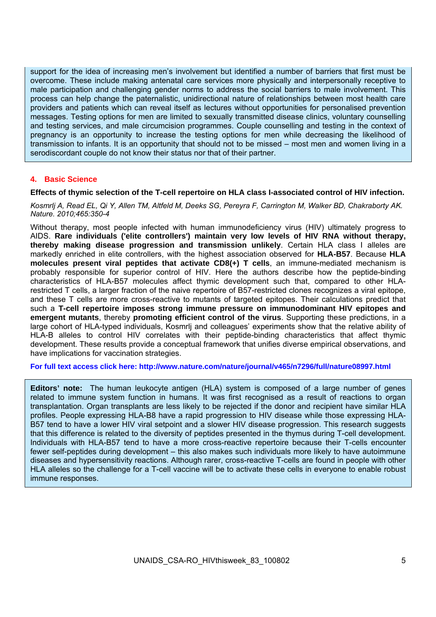support for the idea of increasing men's involvement but identified a number of barriers that first must be overcome. These include making antenatal care services more physically and interpersonally receptive to male participation and challenging gender norms to address the social barriers to male involvement. This process can help change the paternalistic, unidirectional nature of relationships between most health care providers and patients which can reveal itself as lectures without opportunities for personalised prevention messages. Testing options for men are limited to sexually transmitted disease clinics, voluntary counselling and testing services, and male circumcision programmes. Couple counselling and testing in the context of pregnancy is an opportunity to increase the testing options for men while decreasing the likelihood of transmission to infants. It is an opportunity that should not to be missed – most men and women living in a serodiscordant couple do not know their status nor that of their partner.

## **4. Basic Science**

# **Effects of thymic selection of the T-cell repertoire on HLA class I-associated control of HIV infection.**

*Kosmrlj A, Read EL, Qi Y, Allen TM, Altfeld M, Deeks SG, Pereyra F, Carrington M, Walker BD, Chakraborty AK. Nature. 2010;465:350-4* 

Without therapy, most people infected with human immunodeficiency virus (HIV) ultimately progress to AIDS. **Rare individuals ('elite controllers') maintain very low levels of HIV RNA without therapy, thereby making disease progression and transmission unlikely**. Certain HLA class I alleles are markedly enriched in elite controllers, with the highest association observed for **HLA-B57**. Because **HLA molecules present viral peptides that activate CD8(+) T cells**, an immune-mediated mechanism is probably responsible for superior control of HIV. Here the authors describe how the peptide-binding characteristics of HLA-B57 molecules affect thymic development such that, compared to other HLArestricted T cells, a larger fraction of the naive repertoire of B57-restricted clones recognizes a viral epitope, and these T cells are more cross-reactive to mutants of targeted epitopes. Their calculations predict that such a **T-cell repertoire imposes strong immune pressure on immunodominant HIV epitopes and emergent mutants**, thereby **promoting efficient control of the virus**. Supporting these predictions, in a large cohort of HLA-typed individuals, Kosmrlj and colleagues' experiments show that the relative ability of HLA-B alleles to control HIV correlates with their peptide-binding characteristics that affect thymic development. These results provide a conceptual framework that unifies diverse empirical observations, and have implications for vaccination strategies.

**For full text access click here: http://www.nature.com/nature/journal/v465/n7296/full/nature08997.html** 

**Editors' note:** The human leukocyte antigen (HLA) system is composed of a large number of genes related to immune system function in humans. It was first recognised as a result of reactions to organ transplantation. Organ transplants are less likely to be rejected if the donor and recipient have similar HLA profiles. People expressing HLA-B8 have a rapid progression to HIV disease while those expressing HLA-B57 tend to have a lower HIV viral setpoint and a slower HIV disease progression. This research suggests that this difference is related to the diversity of peptides presented in the thymus during T-cell development. Individuals with HLA-B57 tend to have a more cross-reactive repertoire because their T-cells encounter fewer self-peptides during development – this also makes such individuals more likely to have autoimmune diseases and hypersensitivity reactions. Although rarer, cross-reactive T-cells are found in people with other HLA alleles so the challenge for a T-cell vaccine will be to activate these cells in everyone to enable robust immune responses.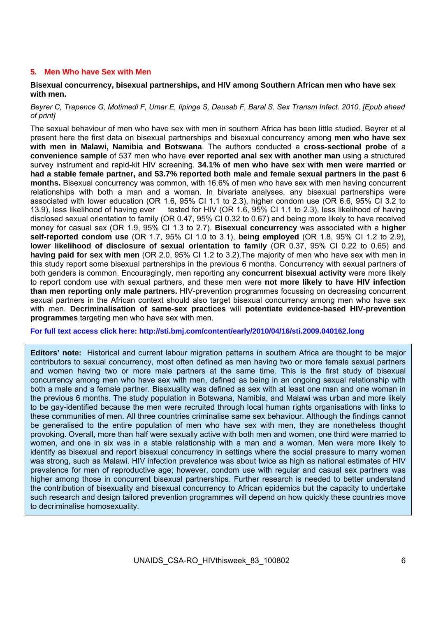# **5. Men Who have Sex with Men**

## **Bisexual concurrency, bisexual partnerships, and HIV among Southern African men who have sex with men.**

## *Beyrer C, Trapence G, Motimedi F, Umar E, Iipinge S, Dausab F, Baral S. Sex Transm Infect. 2010. [Epub ahead of print]*

The sexual behaviour of men who have sex with men in southern Africa has been little studied. Beyrer et al present here the first data on bisexual partnerships and bisexual concurrency among **men who have sex with men in Malawi, Namibia and Botswana**. The authors conducted a **cross-sectional probe** of a **convenience sample** of 537 men who have **ever reported anal sex with another man** using a structured survey instrument and rapid-kit HIV screening. **34.1% of men who have sex with men were married or had a stable female partner, and 53.7% reported both male and female sexual partners in the past 6 months.** Bisexual concurrency was common, with 16.6% of men who have sex with men having concurrent relationships with both a man and a woman. In bivariate analyses, any bisexual partnerships were associated with lower education (OR 1.6, 95% CI 1.1 to 2.3), higher condom use (OR 6.6, 95% CI 3.2 to 13.9), less likelihood of having ever tested for HIV (OR 1.6, 95% CI 1.1 to 2.3), less likelihood of having disclosed sexual orientation to family (OR 0.47, 95% CI 0.32 to 0.67) and being more likely to have received money for casual sex (OR 1.9, 95% CI 1.3 to 2.7). **Bisexual concurrency** was associated with a **higher self-reported condom use** (OR 1.7, 95% CI 1.0 to 3.1), **being employed** (OR 1.8, 95% CI 1.2 to 2.9), **lower likelihood of disclosure of sexual orientation to family** (OR 0.37, 95% CI 0.22 to 0.65) and **having paid for sex with men** (OR 2.0, 95% CI 1.2 to 3.2).The majority of men who have sex with men in this study report some bisexual partnerships in the previous 6 months. Concurrency with sexual partners of both genders is common. Encouragingly, men reporting any **concurrent bisexual activity** were more likely to report condom use with sexual partners, and these men were **not more likely to have HIV infection than men reporting only male partners.** HIV-prevention programmes focussing on decreasing concurrent sexual partners in the African context should also target bisexual concurrency among men who have sex with men. **Decriminalisation of same-sex practices** will **potentiate evidence-based HIV-prevention programmes** targeting men who have sex with men.

## **For full text access click here: http://sti.bmj.com/content/early/2010/04/16/sti.2009.040162.long**

**Editors' note:** Historical and current labour migration patterns in southern Africa are thought to be major contributors to sexual concurrency, most often defined as men having two or more female sexual partners and women having two or more male partners at the same time. This is the first study of bisexual concurrency among men who have sex with men, defined as being in an ongoing sexual relationship with both a male and a female partner. Bisexuality was defined as sex with at least one man and one woman in the previous 6 months. The study population in Botswana, Namibia, and Malawi was urban and more likely to be gay-identified because the men were recruited through local human rights organisations with links to these communities of men. All three countries criminalise same sex behaviour. Although the findings cannot be generalised to the entire population of men who have sex with men, they are nonetheless thought provoking. Overall, more than half were sexually active with both men and women, one third were married to women, and one in six was in a stable relationship with a man and a woman. Men were more likely to identify as bisexual and report bisexual concurrency in settings where the social pressure to marry women was strong, such as Malawi. HIV infection prevalence was about twice as high as national estimates of HIV prevalence for men of reproductive age; however, condom use with regular and casual sex partners was higher among those in concurrent bisexual partnerships. Further research is needed to better understand the contribution of bisexuality and bisexual concurrency to African epidemics but the capacity to undertake such research and design tailored prevention programmes will depend on how quickly these countries move to decriminalise homosexuality.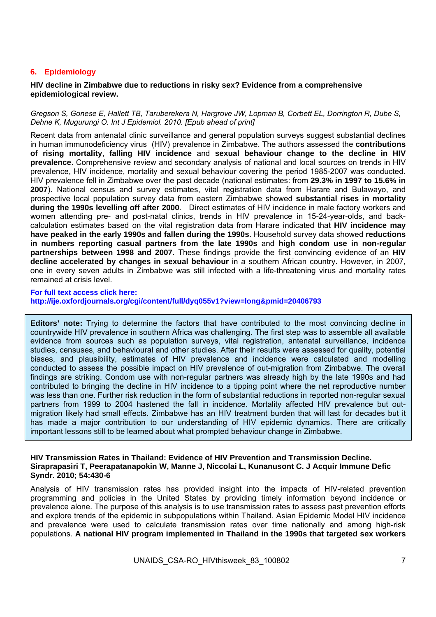# **6. Epidemiology**

#### **HIV decline in Zimbabwe due to reductions in risky sex? Evidence from a comprehensive epidemiological review.**

#### *Gregson S, Gonese E, Hallett TB, Taruberekera N, Hargrove JW, Lopman B, Corbett EL, Dorrington R, Dube S, Dehne K, Mugurungi O. Int J Epidemiol. 2010. [Epub ahead of print]*

Recent data from antenatal clinic surveillance and general population surveys suggest substantial declines in human immunodeficiency virus (HIV) prevalence in Zimbabwe. The authors assessed the **contributions of rising mortality**, **falling HIV incidence** and **sexual behaviour change to the decline in HIV prevalence**. Comprehensive review and secondary analysis of national and local sources on trends in HIV prevalence, HIV incidence, mortality and sexual behaviour covering the period 1985-2007 was conducted. HIV prevalence fell in Zimbabwe over the past decade (national estimates: from **29.3% in 1997 to 15.6% in 2007**). National census and survey estimates, vital registration data from Harare and Bulawayo, and prospective local population survey data from eastern Zimbabwe showed **substantial rises in mortality during the 1990s levelling off after 2000**. Direct estimates of HIV incidence in male factory workers and women attending pre- and post-natal clinics, trends in HIV prevalence in 15-24-year-olds, and backcalculation estimates based on the vital registration data from Harare indicated that **HIV incidence may have peaked in the early 1990s and fallen during the 1990s**. Household survey data showed **reductions in numbers reporting casual partners from the late 1990s** and **high condom use in non-regular partnerships between 1998 and 2007**. These findings provide the first convincing evidence of an **HIV decline accelerated by changes in sexual behaviour** in a southern African country. However, in 2007, one in every seven adults in Zimbabwe was still infected with a life-threatening virus and mortality rates remained at crisis level.

#### **For full text access click here:**

**http://ije.oxfordjournals.org/cgi/content/full/dyq055v1?view=long&pmid=20406793** 

**Editors' note:** Trying to determine the factors that have contributed to the most convincing decline in countrywide HIV prevalence in southern Africa was challenging. The first step was to assemble all available evidence from sources such as population surveys, vital registration, antenatal surveillance, incidence studies, censuses, and behavioural and other studies. After their results were assessed for quality, potential biases, and plausibility, estimates of HIV prevalence and incidence were calculated and modelling conducted to assess the possible impact on HIV prevalence of out-migration from Zimbabwe. The overall findings are striking. Condom use with non-regular partners was already high by the late 1990s and had contributed to bringing the decline in HIV incidence to a tipping point where the net reproductive number was less than one. Further risk reduction in the form of substantial reductions in reported non-regular sexual partners from 1999 to 2004 hastened the fall in incidence. Mortality affected HIV prevalence but outmigration likely had small effects. Zimbabwe has an HIV treatment burden that will last for decades but it has made a major contribution to our understanding of HIV epidemic dynamics. There are critically important lessons still to be learned about what prompted behaviour change in Zimbabwe.

#### **HIV Transmission Rates in Thailand: Evidence of HIV Prevention and Transmission Decline. Siraprapasiri T, Peerapatanapokin W, Manne J, Niccolai L, Kunanusont C. J Acquir Immune Defic Syndr. 2010; 54:430-6**

Analysis of HIV transmission rates has provided insight into the impacts of HIV-related prevention programming and policies in the United States by providing timely information beyond incidence or prevalence alone. The purpose of this analysis is to use transmission rates to assess past prevention efforts and explore trends of the epidemic in subpopulations within Thailand. Asian Epidemic Model HIV incidence and prevalence were used to calculate transmission rates over time nationally and among high-risk populations. **A national HIV program implemented in Thailand in the 1990s that targeted sex workers**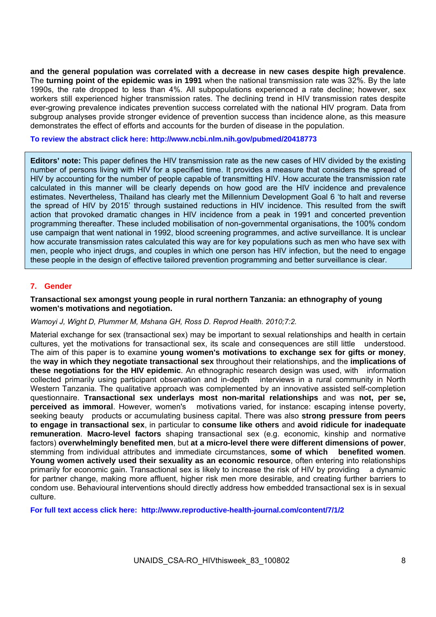**and the general population was correlated with a decrease in new cases despite high prevalence**. The **turning point of the epidemic was in 1991** when the national transmission rate was 32%. By the late 1990s, the rate dropped to less than 4%. All subpopulations experienced a rate decline; however, sex workers still experienced higher transmission rates. The declining trend in HIV transmission rates despite ever-growing prevalence indicates prevention success correlated with the national HIV program. Data from subgroup analyses provide stronger evidence of prevention success than incidence alone, as this measure demonstrates the effect of efforts and accounts for the burden of disease in the population.

#### **To review the abstract click here: http://www.ncbi.nlm.nih.gov/pubmed/20418773**

**Editors' note:** This paper defines the HIV transmission rate as the new cases of HIV divided by the existing number of persons living with HIV for a specified time. It provides a measure that considers the spread of HIV by accounting for the number of people capable of transmitting HIV. How accurate the transmission rate calculated in this manner will be clearly depends on how good are the HIV incidence and prevalence estimates. Nevertheless, Thailand has clearly met the Millennium Development Goal 6 'to halt and reverse the spread of HIV by 2015' through sustained reductions in HIV incidence. This resulted from the swift action that provoked dramatic changes in HIV incidence from a peak in 1991 and concerted prevention programming thereafter. These included mobilisation of non-governmental organisations, the 100% condom use campaign that went national in 1992, blood screening programmes, and active surveillance. It is unclear how accurate transmission rates calculated this way are for key populations such as men who have sex with men, people who inject drugs, and couples in which one person has HIV infection, but the need to engage these people in the design of effective tailored prevention programming and better surveillance is clear.

# **7. Gender**

#### **Transactional sex amongst young people in rural northern Tanzania: an ethnography of young women's motivations and negotiation.**

## *Wamoyi J, Wight D, Plummer M, Mshana GH, Ross D. Reprod Health. 2010;7:2.*

Material exchange for sex (transactional sex) may be important to sexual relationships and health in certain cultures, yet the motivations for transactional sex, its scale and consequences are still little understood. The aim of this paper is to examine **young women's motivations to exchange sex for gifts or money**, the **way in which they negotiate transactional sex** throughout their relationships, and the **implications of these negotiations for the HIV epidemic**. An ethnographic research design was used, with information collected primarily using participant observation and in-depth interviews in a rural community in North Western Tanzania. The qualitative approach was complemented by an innovative assisted self-completion questionnaire. **Transactional sex underlays most non-marital relationships** and was **not, per se, perceived as immoral**. However, women's motivations varied, for instance: escaping intense poverty, seeking beauty products or accumulating business capital. There was also **strong pressure from peers to engage in transactional sex**, in particular to **consume like others** and **avoid ridicule for inadequate remuneration**. **Macro-level factors** shaping transactional sex (e.g. economic, kinship and normative factors) **overwhelmingly benefited men**, but **at a micro-level there were different dimensions of power**, stemming from individual attributes and immediate circumstances, **some of which benefited women**. **Young women actively used their sexuality as an economic resource**, often entering into relationships primarily for economic gain. Transactional sex is likely to increase the risk of HIV by providing a dynamic for partner change, making more affluent, higher risk men more desirable, and creating further barriers to condom use. Behavioural interventions should directly address how embedded transactional sex is in sexual culture.

**For full text access click here: http://www.reproductive-health-journal.com/content/7/1/2**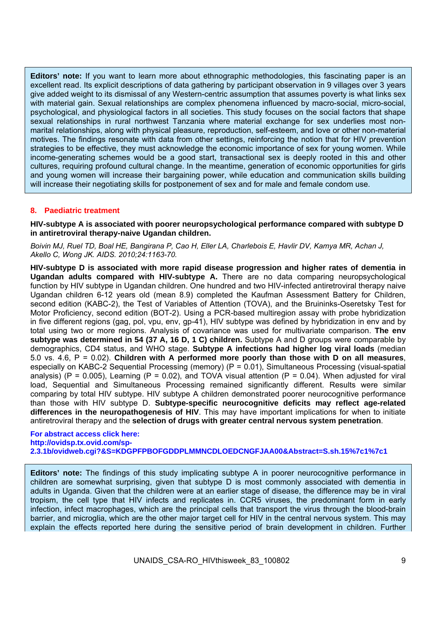**Editors' note:** If you want to learn more about ethnographic methodologies, this fascinating paper is an excellent read. Its explicit descriptions of data gathering by participant observation in 9 villages over 3 years give added weight to its dismissal of any Western-centric assumption that assumes poverty is what links sex with material gain. Sexual relationships are complex phenomena influenced by macro-social, micro-social, psychological, and physiological factors in all societies. This study focuses on the social factors that shape sexual relationships in rural northwest Tanzania where material exchange for sex underlies most nonmarital relationships, along with physical pleasure, reproduction, self-esteem, and love or other non-material motives. The findings resonate with data from other settings, reinforcing the notion that for HIV prevention strategies to be effective, they must acknowledge the economic importance of sex for young women. While income-generating schemes would be a good start, transactional sex is deeply rooted in this and other cultures, requiring profound cultural change. In the meantime, generation of economic opportunities for girls and young women will increase their bargaining power, while education and communication skills building will increase their negotiating skills for postponement of sex and for male and female condom use.

# **8. Paediatric treatment**

**HIV-subtype A is associated with poorer neuropsychological performance compared with subtype D in antiretroviral therapy-naive Ugandan children.** 

*Boivin MJ, Ruel TD, Boal HE, Bangirana P, Cao H, Eller LA, Charlebois E, Havlir DV, Kamya MR, Achan J, Akello C, Wong JK. AIDS. 2010;24:1163-70.* 

**HIV-subtype D is associated with more rapid disease progression and higher rates of dementia in Ugandan adults compared with HIV-subtype A.** There are no data comparing neuropsychological function by HIV subtype in Ugandan children. One hundred and two HIV-infected antiretroviral therapy naive Ugandan children 6-12 years old (mean 8.9) completed the Kaufman Assessment Battery for Children, second edition (KABC-2), the Test of Variables of Attention (TOVA), and the Bruininks-Oseretsky Test for Motor Proficiency, second edition (BOT-2). Using a PCR-based multiregion assay with probe hybridization in five different regions (gag, pol, vpu, env, gp-41), HIV subtype was defined by hybridization in env and by total using two or more regions. Analysis of covariance was used for multivariate comparison. **The env subtype was determined in 54 (37 A, 16 D, 1 C) children.** Subtype A and D groups were comparable by demographics, CD4 status, and WHO stage. **Subtype A infections had higher log viral loads** (median 5.0 vs. 4.6, P = 0.02). **Children with A performed more poorly than those with D on all measures**, especially on KABC-2 Sequential Processing (memory) (P = 0.01), Simultaneous Processing (visual-spatial analysis) (P = 0.005), Learning (P = 0.02), and TOVA visual attention (P = 0.04). When adjusted for viral load, Sequential and Simultaneous Processing remained significantly different. Results were similar comparing by total HIV subtype. HIV subtype A children demonstrated poorer neurocognitive performance than those with HIV subtype D. **Subtype-specific neurocognitive deficits may reflect age-related differences in the neuropathogenesis of HIV**. This may have important implications for when to initiate antiretroviral therapy and the **selection of drugs with greater central nervous system penetration**.

#### **For abstract access click here: http://ovidsp.tx.ovid.com/sp-2.3.1b/ovidweb.cgi?&S=KDGPFPBOFGDDPLMMNCDLOEDCNGFJAA00&Abstract=S.sh.15%7c1%7c1**

**Editors' note:** The findings of this study implicating subtype A in poorer neurocognitive performance in children are somewhat surprising, given that subtype D is most commonly associated with dementia in adults in Uganda. Given that the children were at an earlier stage of disease, the difference may be in viral tropism, the cell type that HIV infects and replicates in. CCR5 viruses, the predominant form in early infection, infect macrophages, which are the principal cells that transport the virus through the blood-brain barrier, and microglia, which are the other major target cell for HIV in the central nervous system. This may explain the effects reported here during the sensitive period of brain development in children. Further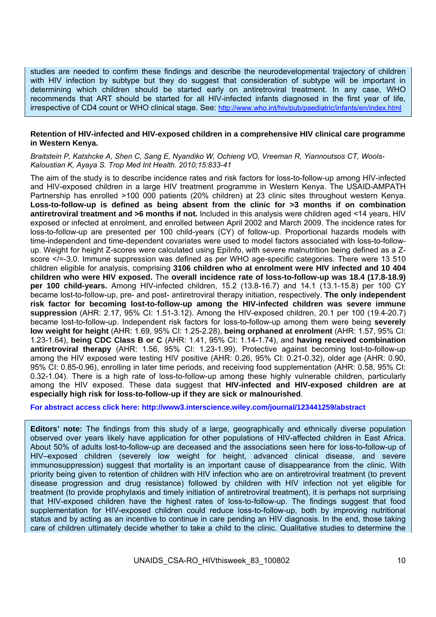studies are needed to confirm these findings and describe the neurodevelopmental trajectory of children with HIV infection by subtype but they do suggest that consideration of subtype will be important in determining which children should be started early on antiretroviral treatment. In any case, WHO recommends that ART should be started for all HIV-infected infants diagnosed in the first year of life, irrespective of CD4 count or WHO clinical stage. See: http://www.who.int/hiv/pub/paediatric/infants/en/index.html

#### **Retention of HIV-infected and HIV-exposed children in a comprehensive HIV clinical care programme in Western Kenya.**

*Braitstein P, Katshcke A, Shen C, Sang E, Nyandiko W, Ochieng VO, Vreeman R, Yiannoutsos CT, Wools-Kaloustian K, Ayaya S. Trop Med Int Health. 2010;15:833-41* 

The aim of the study is to describe incidence rates and risk factors for loss-to-follow-up among HIV-infected and HIV-exposed children in a large HIV treatment programme in Western Kenya. The USAID-AMPATH Partnership has enrolled >100 000 patients (20% children) at 23 clinic sites throughout western Kenya. **Loss-to-follow-up is defined as being absent from the clinic for >3 months if on combination antiretroviral treatment and >6 months if not.** Included in this analysis were children aged <14 years, HIV exposed or infected at enrolment, and enrolled between April 2002 and March 2009. The incidence rates for loss-to-follow-up are presented per 100 child-years (CY) of follow-up. Proportional hazards models with time-independent and time-dependent covariates were used to model factors associated with loss-to-followup. Weight for height Z-scores were calculated using Epilnfo, with severe malnutrition being defined as a Zscore </=-3.0. Immune suppression was defined as per WHO age-specific categories. There were 13 510 children eligible for analysis, comprising **3106 children who at enrolment were HIV infected and 10 404 children who were HIV exposed.** The **overall incidence rate of loss-to-follow-up was 18.4 (17.8-18.9) per 100 child-years.** Among HIV-infected children, 15.2 (13.8-16.7) and 14.1 (13.1-15.8) per 100 CY became lost-to-follow-up, pre- and post- antiretroviral therapy initiation, respectively. **The only independent risk factor for becoming lost-to-follow-up among the HIV-infected children was severe immune suppression** (AHR: 2.17, 95% CI: 1.51-3.12). Among the HIV-exposed children, 20.1 per 100 (19.4-20.7) became lost-to-follow-up. Independent risk factors for loss-to-follow-up among them were being **severely low weight for height** (AHR: 1.69, 95% CI: 1.25-2.28), **being orphaned at enrolment** (AHR: 1.57, 95% CI: 1.23-1.64), **being CDC Class B or C** (AHR: 1.41, 95% CI: 1.14-1.74), and **having received combination antiretroviral therapy** (AHR: 1.56, 95% CI: 1.23-1.99). Protective against becoming lost-to-follow-up among the HIV exposed were testing HIV positive (AHR: 0.26, 95% CI: 0.21-0.32), older age (AHR: 0.90, 95% CI: 0.85-0.96), enrolling in later time periods, and receiving food supplementation (AHR: 0.58, 95% CI: 0.32-1.04). There is a high rate of loss-to-follow-up among these highly vulnerable children, particularly among the HIV exposed. These data suggest that **HIV-infected and HIV-exposed children are at especially high risk for loss-to-follow-up if they are sick or malnourished**.

**For abstract access click here: http://www3.interscience.wiley.com/journal/123441259/abstract** 

**Editors' note:** The findings from this study of a large, geographically and ethnically diverse population observed over years likely have application for other populations of HIV-affected children in East Africa. About 50% of adults lost-to-follow-up are deceased and the associations seen here for loss-to-follow-up of HIV–exposed children (severely low weight for height, advanced clinical disease, and severe immunosuppression) suggest that mortality is an important cause of disappearance from the clinic. With priority being given to retention of children with HIV infection who are on antiretroviral treatment (to prevent disease progression and drug resistance) followed by children with HIV infection not yet eligible for treatment (to provide prophylaxis and timely initiation of antiretroviral treatment), it is perhaps not surprising that HIV-exposed children have the highest rates of loss-to-follow-up. The findings suggest that food supplementation for HIV-exposed children could reduce loss-to-follow-up, both by improving nutritional status and by acting as an incentive to continue in care pending an HIV diagnosis. In the end, those taking care of children ultimately decide whether to take a child to the clinic. Qualitative studies to determine the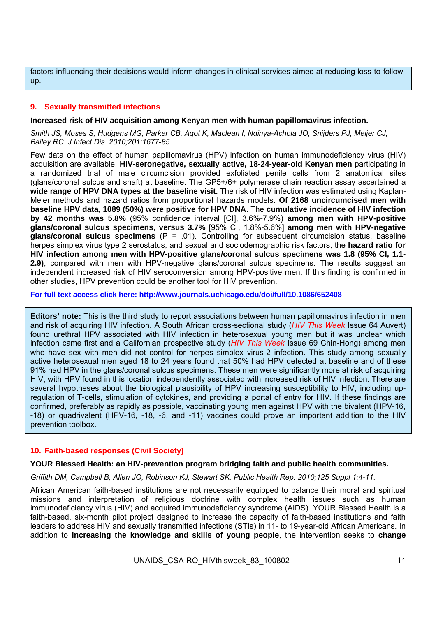factors influencing their decisions would inform changes in clinical services aimed at reducing loss-to-followup.

# **9. Sexually transmitted infections**

#### **Increased risk of HIV acquisition among Kenyan men with human papillomavirus infection.**

*Smith JS, Moses S, Hudgens MG, Parker CB, Agot K, Maclean I, Ndinya-Achola JO, Snijders PJ, Meijer CJ, Bailey RC. J Infect Dis. 2010;201:1677-85.* 

Few data on the effect of human papillomavirus (HPV) infection on human immunodeficiency virus (HIV) acquisition are available. **HIV-seronegative, sexually active, 18-24-year-old Kenyan men** participating in a randomized trial of male circumcision provided exfoliated penile cells from 2 anatomical sites (glans/coronal sulcus and shaft) at baseline. The GP5+/6+ polymerase chain reaction assay ascertained a **wide range of HPV DNA types at the baseline visit.** The risk of HIV infection was estimated using Kaplan-Meier methods and hazard ratios from proportional hazards models. **Of 2168 uncircumcised men with baseline HPV data, 1089 (50%) were positive for HPV DNA**. The **cumulative incidence of HIV infection by 42 months was 5.8%** (95% confidence interval [CI], 3.6%-7.9%) **among men with HPV-positive glans/coronal sulcus specimens**, **versus 3.7%** [95% CI, 1.8%-5.6%] **among men with HPV-negative glans/coronal sulcus specimens** (P = .01). Controlling for subsequent circumcision status, baseline herpes simplex virus type 2 serostatus, and sexual and sociodemographic risk factors, the **hazard ratio for HIV infection among men with HPV-positive glans/coronal sulcus specimens was 1.8 (95% CI, 1.1- 2.9)**, compared with men with HPV-negative glans/coronal sulcus specimens. The results suggest an independent increased risk of HIV seroconversion among HPV-positive men. If this finding is confirmed in other studies, HPV prevention could be another tool for HIV prevention.

#### **For full text access click here: http://www.journals.uchicago.edu/doi/full/10.1086/652408**

**Editors' note:** This is the third study to report associations between human papillomavirus infection in men and risk of acquiring HIV infection. A South African cross-sectional study (*HIV This Week* Issue 64 Auvert) found urethral HPV associated with HIV infection in heterosexual young men but it was unclear which infection came first and a Californian prospective study (*HIV This Week* Issue 69 Chin-Hong) among men who have sex with men did not control for herpes simplex virus-2 infection. This study among sexually active heterosexual men aged 18 to 24 years found that 50% had HPV detected at baseline and of these 91% had HPV in the glans/coronal sulcus specimens. These men were significantly more at risk of acquiring HIV, with HPV found in this location independently associated with increased risk of HIV infection. There are several hypotheses about the biological plausibility of HPV increasing susceptibility to HIV, including upregulation of T-cells, stimulation of cytokines, and providing a portal of entry for HIV. If these findings are confirmed, preferably as rapidly as possible, vaccinating young men against HPV with the bivalent (HPV-16, -18) or quadrivalent (HPV-16, -18, -6, and -11) vaccines could prove an important addition to the HIV prevention toolbox.

## **10. Faith-based responses (Civil Society)**

## **YOUR Blessed Health: an HIV-prevention program bridging faith and public health communities.**

*Griffith DM, Campbell B, Allen JO, Robinson KJ, Stewart SK. Public Health Rep. 2010;125 Suppl 1:4-11.* 

African American faith-based institutions are not necessarily equipped to balance their moral and spiritual missions and interpretation of religious doctrine with complex health issues such as human immunodeficiency virus (HIV) and acquired immunodeficiency syndrome (AIDS). YOUR Blessed Health is a faith-based, six-month pilot project designed to increase the capacity of faith-based institutions and faith leaders to address HIV and sexually transmitted infections (STIs) in 11- to 19-year-old African Americans. In addition to **increasing the knowledge and skills of young people**, the intervention seeks to **change**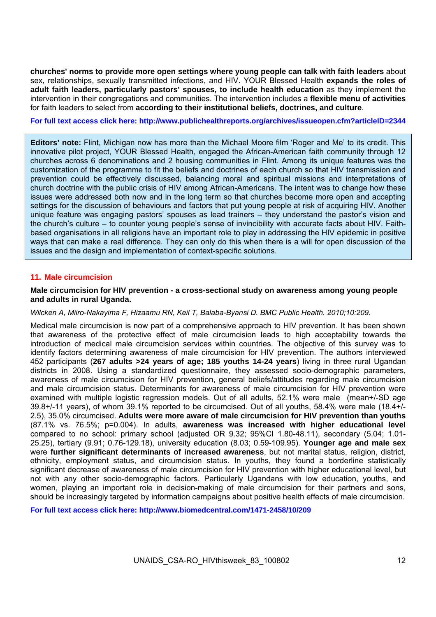**churches' norms to provide more open settings where young people can talk with faith leaders** about sex, relationships, sexually transmitted infections, and HIV. YOUR Blessed Health **expands the roles of adult faith leaders, particularly pastors' spouses, to include health education** as they implement the intervention in their congregations and communities. The intervention includes a **flexible menu of activities** for faith leaders to select from **according to their institutional beliefs, doctrines, and culture**.

#### **For full text access click here: http://www.publichealthreports.org/archives/issueopen.cfm?articleID=2344**

**Editors' note:** Flint, Michigan now has more than the Michael Moore film 'Roger and Me' to its credit. This innovative pilot project, YOUR Blessed Health, engaged the African-American faith community through 12 churches across 6 denominations and 2 housing communities in Flint. Among its unique features was the customization of the programme to fit the beliefs and doctrines of each church so that HIV transmission and prevention could be effectively discussed, balancing moral and spiritual missions and interpretations of church doctrine with the public crisis of HIV among African-Americans. The intent was to change how these issues were addressed both now and in the long term so that churches become more open and accepting settings for the discussion of behaviours and factors that put young people at risk of acquiring HIV. Another unique feature was engaging pastors' spouses as lead trainers – they understand the pastor's vision and the church's culture – to counter young people's sense of invincibility with accurate facts about HIV. Faithbased organisations in all religions have an important role to play in addressing the HIV epidemic in positive ways that can make a real difference. They can only do this when there is a will for open discussion of the issues and the design and implementation of context-specific solutions.

## **11. Male circumcision**

#### **Male circumcision for HIV prevention - a cross-sectional study on awareness among young people and adults in rural Uganda.**

#### *Wilcken A, Miiro-Nakayima F, Hizaamu RN, Keil T, Balaba-Byansi D. BMC Public Health. 2010;10:209.*

Medical male circumcision is now part of a comprehensive approach to HIV prevention. It has been shown that awareness of the protective effect of male circumcision leads to high acceptability towards the introduction of medical male circumcision services within countries. The objective of this survey was to identify factors determining awareness of male circumcision for HIV prevention. The authors interviewed 452 participants (**267 adults >24 years of age; 185 youths 14-24 years**) living in three rural Ugandan districts in 2008. Using a standardized questionnaire, they assessed socio-demographic parameters, awareness of male circumcision for HIV prevention, general beliefs/attitudes regarding male circumcision and male circumcision status. Determinants for awareness of male circumcision for HIV prevention were examined with multiple logistic regression models. Out of all adults, 52.1% were male (mean+/-SD age 39.8+/-11 years), of whom 39.1% reported to be circumcised. Out of all youths, 58.4% were male (18.4+/- 2.5), 35.0% circumcised. **Adults were more aware of male circumcision for HIV prevention than youths** (87.1% vs. 76.5%; p=0.004). In adults, **awareness was increased with higher educational level** compared to no school: primary school (adjusted OR 9.32; 95%CI 1.80-48.11), secondary (5.04; 1.01- 25.25), tertiary (9.91; 0.76-129.18), university education (8.03; 0.59-109.95). **Younger age and male sex** were **further significant determinants of increased awareness**, but not marital status, religion, district, ethnicity, employment status, and circumcision status. In youths, they found a borderline statistically significant decrease of awareness of male circumcision for HIV prevention with higher educational level, but not with any other socio-demographic factors. Particularly Ugandans with low education, youths, and women, playing an important role in decision-making of male circumcision for their partners and sons, should be increasingly targeted by information campaigns about positive health effects of male circumcision.

**For full text access click here: http://www.biomedcentral.com/1471-2458/10/209**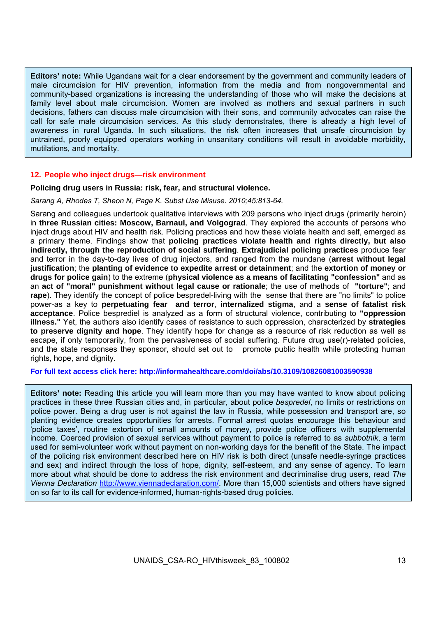**Editors' note:** While Ugandans wait for a clear endorsement by the government and community leaders of male circumcision for HIV prevention, information from the media and from nongovernmental and community-based organizations is increasing the understanding of those who will make the decisions at family level about male circumcision. Women are involved as mothers and sexual partners in such decisions, fathers can discuss male circumcision with their sons, and community advocates can raise the call for safe male circumcision services. As this study demonstrates, there is already a high level of awareness in rural Uganda. In such situations, the risk often increases that unsafe circumcision by untrained, poorly equipped operators working in unsanitary conditions will result in avoidable morbidity, mutilations, and mortality.

#### **12. People who inject drugs—risk environment**

#### **Policing drug users in Russia: risk, fear, and structural violence.**

#### *Sarang A, Rhodes T, Sheon N, Page K. Subst Use Misuse. 2010;45:813-64.*

Sarang and colleagues undertook qualitative interviews with 209 persons who inject drugs (primarily heroin) in **three Russian cities: Moscow, Barnaul, and Volgograd**. They explored the accounts of persons who inject drugs about HIV and health risk. Policing practices and how these violate health and self, emerged as a primary theme. Findings show that **policing practices violate health and rights directly, but also indirectly, through the reproduction of social suffering**. **Extrajudicial policing practices** produce fear and terror in the day-to-day lives of drug injectors, and ranged from the mundane (**arrest without legal justification**; the **planting of evidence to expedite arrest or detainment**; and the **extortion of money or drugs for police gain**) to the extreme (**physical violence as a means of facilitating "confession"** and as an **act of "moral" punishment without legal cause or rationale**; the use of methods of **"torture"**; and **rape**). They identify the concept of police bespredel-living with the sense that there are "no limits" to police power-as a key to **perpetuating fear and terror**, **internalized stigma**, and a **sense of fatalist risk acceptance**. Police besprediel is analyzed as a form of structural violence, contributing to **"oppression illness."** Yet, the authors also identify cases of resistance to such oppression, characterized by **strategies to preserve dignity and hope**. They identify hope for change as a resource of risk reduction as well as escape, if only temporarily, from the pervasiveness of social suffering. Future drug use(r)-related policies, and the state responses they sponsor, should set out to promote public health while protecting human rights, hope, and dignity.

#### **For full text access click here: http://informahealthcare.com/doi/abs/10.3109/10826081003590938**

**Editors' note:** Reading this article you will learn more than you may have wanted to know about policing practices in these three Russian cities and, in particular, about police *bespredel*, no limits or restrictions on police power. Being a drug user is not against the law in Russia, while possession and transport are, so planting evidence creates opportunities for arrests. Formal arrest quotas encourage this behaviour and 'police taxes', routine extortion of small amounts of money, provide police officers with supplemental income. Coerced provision of sexual services without payment to police is referred to as *subbotnik*, a term used for semi-volunteer work without payment on non-working days for the benefit of the State. The impact of the policing risk environment described here on HIV risk is both direct (unsafe needle-syringe practices and sex) and indirect through the loss of hope, dignity, self-esteem, and any sense of agency. To learn more about what should be done to address the risk environment and decriminalise drug users, read *The Vienna Declaration* http://www.viennadeclaration.com/. More than 15,000 scientists and others have signed on so far to its call for evidence-informed, human-rights-based drug policies.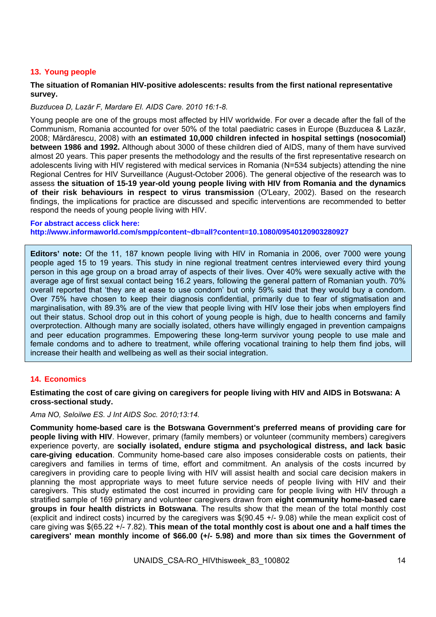# **13. Young people**

## **The situation of Romanian HIV-positive adolescents: results from the first national representative survey.**

## *Buzducea D, Lazăr F, Mardare EI. AIDS Care. 2010 16:1-8.*

Young people are one of the groups most affected by HIV worldwide. For over a decade after the fall of the Communism, Romania accounted for over 50% of the total paediatric cases in Europe (Buzducea & Lazăr, 2008; Mărdărescu, 2008) with **an estimated 10,000 children infected in hospital settings (nosocomial) between 1986 and 1992.** Although about 3000 of these children died of AIDS, many of them have survived almost 20 years. This paper presents the methodology and the results of the first representative research on adolescents living with HIV registered with medical services in Romania (N=534 subjects) attending the nine Regional Centres for HIV Surveillance (August-October 2006). The general objective of the research was to assess **the situation of 15-19 year-old young people living with HIV from Romania and the dynamics of their risk behaviours in respect to virus transmission** (O'Leary, 2002). Based on the research findings, the implications for practice are discussed and specific interventions are recommended to better respond the needs of young people living with HIV.

#### **For abstract access click here: http://www.informaworld.com/smpp/content~db=all?content=10.1080/09540120903280927**

**Editors' note:** Of the 11, 187 known people living with HIV in Romania in 2006, over 7000 were young people aged 15 to 19 years. This study in nine regional treatment centres interviewed every third young person in this age group on a broad array of aspects of their lives. Over 40% were sexually active with the average age of first sexual contact being 16.2 years, following the general pattern of Romanian youth. 70% overall reported that 'they are at ease to use condom' but only 59% said that they would buy a condom. Over 75% have chosen to keep their diagnosis confidential, primarily due to fear of stigmatisation and marginalisation, with 89.3% are of the view that people living with HIV lose their jobs when employers find out their status. School drop out in this cohort of young people is high, due to health concerns and family overprotection. Although many are socially isolated, others have willingly engaged in prevention campaigns and peer education programmes. Empowering these long-term survivor young people to use male and female condoms and to adhere to treatment, while offering vocational training to help them find jobs, will increase their health and wellbeing as well as their social integration.

## **14. Economics**

## **Estimating the cost of care giving on caregivers for people living with HIV and AIDS in Botswana: A cross-sectional study.**

# *Ama NO, Seloilwe ES. J Int AIDS Soc. 2010;13:14.*

**Community home-based care is the Botswana Government's preferred means of providing care for people living with HIV**. However, primary (family members) or volunteer (community members) caregivers experience poverty, are **socially isolated, endure stigma and psychological distress, and lack basic care-giving education**. Community home-based care also imposes considerable costs on patients, their caregivers and families in terms of time, effort and commitment. An analysis of the costs incurred by caregivers in providing care to people living with HIV will assist health and social care decision makers in planning the most appropriate ways to meet future service needs of people living with HIV and their caregivers. This study estimated the cost incurred in providing care for people living with HIV through a stratified sample of 169 primary and volunteer caregivers drawn from **eight community home-based care groups in four health districts in Botswana**. The results show that the mean of the total monthly cost (explicit and indirect costs) incurred by the caregivers was \$(90.45 +/- 9.08) while the mean explicit cost of care giving was \$(65.22 +/- 7.82). **This mean of the total monthly cost is about one and a half times the caregivers' mean monthly income of \$66.00 (+/- 5.98) and more than six times the Government of**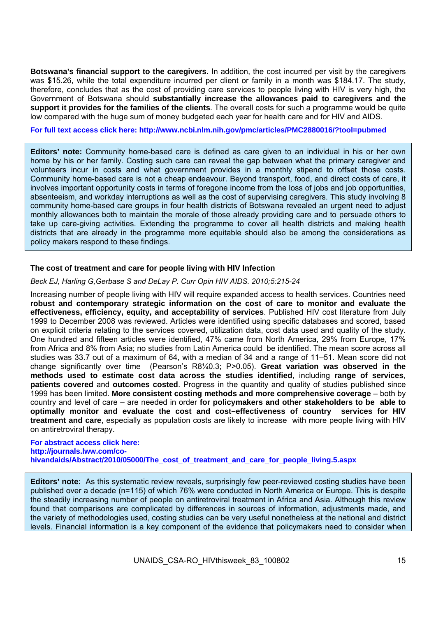**Botswana's financial support to the caregivers.** In addition, the cost incurred per visit by the caregivers was \$15.26, while the total expenditure incurred per client or family in a month was \$184.17. The study, therefore, concludes that as the cost of providing care services to people living with HIV is very high, the Government of Botswana should **substantially increase the allowances paid to caregivers and the support it provides for the families of the clients**. The overall costs for such a programme would be quite low compared with the huge sum of money budgeted each year for health care and for HIV and AIDS.

**For full text access click here: http://www.ncbi.nlm.nih.gov/pmc/articles/PMC2880016/?tool=pubmed** 

**Editors' note:** Community home-based care is defined as care given to an individual in his or her own home by his or her family. Costing such care can reveal the gap between what the primary caregiver and volunteers incur in costs and what government provides in a monthly stipend to offset those costs. Community home-based care is not a cheap endeavour. Beyond transport, food, and direct costs of care, it involves important opportunity costs in terms of foregone income from the loss of jobs and job opportunities, absenteeism, and workday interruptions as well as the cost of supervising caregivers. This study involving 8 community home-based care groups in four health districts of Botswana revealed an urgent need to adjust monthly allowances both to maintain the morale of those already providing care and to persuade others to take up care-giving activities. Extending the programme to cover all health districts and making health districts that are already in the programme more equitable should also be among the considerations as policy makers respond to these findings.

#### **The cost of treatment and care for people living with HIV Infection**

#### *Beck EJ, Harling G,Gerbase S and DeLay P. Curr Opin HIV AIDS. 2010;5:215-24*

Increasing number of people living with HIV will require expanded access to health services. Countries need **robust and contemporary strategic information on the cost of care to monitor and evaluate the effectiveness, efficiency, equity, and acceptability of services**. Published HIV cost literature from July 1999 to December 2008 was reviewed. Articles were identified using specific databases and scored, based on explicit criteria relating to the services covered, utilization data, cost data used and quality of the study. One hundred and fifteen articles were identified, 47% came from North America, 29% from Europe, 17% from Africa and 8% from Asia; no studies from Latin America could be identified. The mean score across all studies was 33.7 out of a maximum of 64, with a median of 34 and a range of 11–51. Mean score did not change significantly over time (Pearson's R8¼0.3; P>0.05). **Great variation was observed in the methods used to estimate cost data across the studies identified**, including **range of services**, **patients covered** and **outcomes costed**. Progress in the quantity and quality of studies published since 1999 has been limited. **More consistent costing methods and more comprehensive coverage** – both by country and level of care – are needed in order **for policymakers and other stakeholders to be able to optimally monitor and evaluate the cost and cost–effectiveness of country services for HIV treatment and care**, especially as population costs are likely to increase with more people living with HIV on antiretroviral therapy.

**For abstract access click here: http://journals.lww.com/cohivandaids/Abstract/2010/05000/The\_cost\_of\_treatment\_and\_care\_for\_people\_living.5.aspx** 

**Editors' note:** As this systematic review reveals, surprisingly few peer-reviewed costing studies have been published over a decade (n=115) of which 76% were conducted in North America or Europe. This is despite the steadily increasing number of people on antiretroviral treatment in Africa and Asia. Although this review found that comparisons are complicated by differences in sources of information, adjustments made, and the variety of methodologies used, costing studies can be very useful nonetheless at the national and district levels. Financial information is a key component of the evidence that policymakers need to consider when